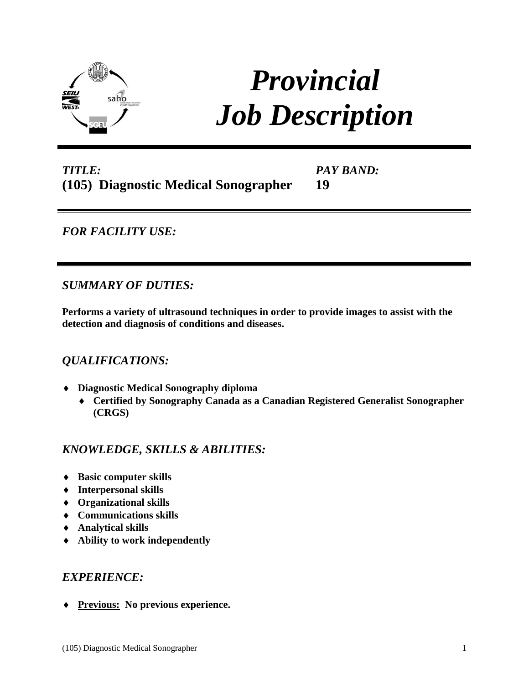

# *Provincial Job Description*

# *TITLE:* **(105) Diagnostic Medical Sonographer**

*PAY BAND:* **19** 

*FOR FACILITY USE:* 

*SUMMARY OF DUTIES:*

**Performs a variety of ultrasound techniques in order to provide images to assist with the detection and diagnosis of conditions and diseases.**

## *QUALIFICATIONS:*

- **Diagnostic Medical Sonography diploma**
	- **Certified by Sonography Canada as a Canadian Registered Generalist Sonographer (CRGS)**

## *KNOWLEDGE, SKILLS & ABILITIES:*

- **Basic computer skills**
- **Interpersonal skills**
- **Organizational skills**
- **Communications skills**
- **Analytical skills**
- **Ability to work independently**

### *EXPERIENCE:*

**Previous: No previous experience.**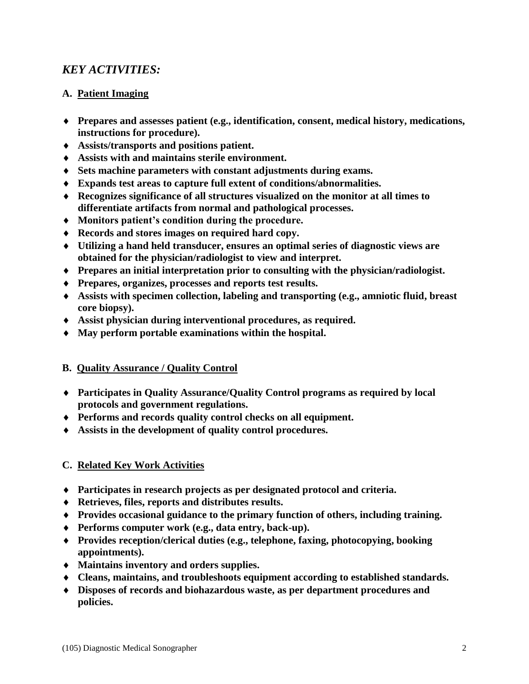## *KEY ACTIVITIES:*

#### **A. Patient Imaging**

- **Prepares and assesses patient (e.g., identification, consent, medical history, medications, instructions for procedure).**
- **Assists/transports and positions patient.**
- **Assists with and maintains sterile environment.**
- **Sets machine parameters with constant adjustments during exams.**
- **Expands test areas to capture full extent of conditions/abnormalities.**
- **Recognizes significance of all structures visualized on the monitor at all times to differentiate artifacts from normal and pathological processes.**
- **Monitors patient's condition during the procedure.**
- **Records and stores images on required hard copy.**
- **Utilizing a hand held transducer, ensures an optimal series of diagnostic views are obtained for the physician/radiologist to view and interpret.**
- **Prepares an initial interpretation prior to consulting with the physician/radiologist.**
- **Prepares, organizes, processes and reports test results.**
- **Assists with specimen collection, labeling and transporting (e.g., amniotic fluid, breast core biopsy).**
- **Assist physician during interventional procedures, as required.**
- **May perform portable examinations within the hospital.**

### **B. Quality Assurance / Quality Control**

- **Participates in Quality Assurance/Quality Control programs as required by local protocols and government regulations.**
- **Performs and records quality control checks on all equipment.**
- **Assists in the development of quality control procedures.**

#### **C. Related Key Work Activities**

- **Participates in research projects as per designated protocol and criteria.**
- **Retrieves, files, reports and distributes results.**
- **Provides occasional guidance to the primary function of others, including training.**
- **Performs computer work (e.g., data entry, back-up).**
- **Provides reception/clerical duties (e.g., telephone, faxing, photocopying, booking appointments).**
- **Maintains inventory and orders supplies.**
- **Cleans, maintains, and troubleshoots equipment according to established standards.**
- **Disposes of records and biohazardous waste, as per department procedures and policies.**